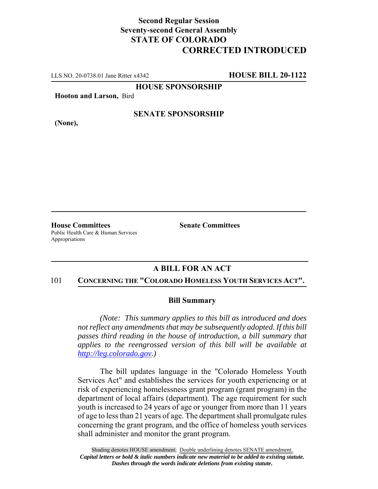## **Second Regular Session Seventy-second General Assembly STATE OF COLORADO CORRECTED INTRODUCED**

LLS NO. 20-0738.01 Jane Ritter x4342 **HOUSE BILL 20-1122**

**HOUSE SPONSORSHIP**

**Hooton and Larson,** Bird

**SENATE SPONSORSHIP**

**(None),**

**House Committees Senate Committees** Public Health Care & Human Services Appropriations

## **A BILL FOR AN ACT**

## 101 **CONCERNING THE "COLORADO HOMELESS YOUTH SERVICES ACT".**

## **Bill Summary**

*(Note: This summary applies to this bill as introduced and does not reflect any amendments that may be subsequently adopted. If this bill passes third reading in the house of introduction, a bill summary that applies to the reengrossed version of this bill will be available at http://leg.colorado.gov.)*

The bill updates language in the "Colorado Homeless Youth Services Act" and establishes the services for youth experiencing or at risk of experiencing homelessness grant program (grant program) in the department of local affairs (department). The age requirement for such youth is increased to 24 years of age or younger from more than 11 years of age to less than 21 years of age. The department shall promulgate rules concerning the grant program, and the office of homeless youth services shall administer and monitor the grant program.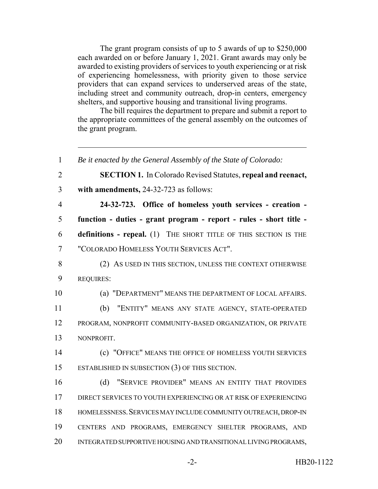The grant program consists of up to 5 awards of up to \$250,000 each awarded on or before January 1, 2021. Grant awards may only be awarded to existing providers of services to youth experiencing or at risk of experiencing homelessness, with priority given to those service providers that can expand services to underserved areas of the state, including street and community outreach, drop-in centers, emergency shelters, and supportive housing and transitional living programs.

The bill requires the department to prepare and submit a report to the appropriate committees of the general assembly on the outcomes of the grant program.

 *Be it enacted by the General Assembly of the State of Colorado:* **SECTION 1.** In Colorado Revised Statutes, **repeal and reenact, with amendments,** 24-32-723 as follows: **24-32-723. Office of homeless youth services - creation - function - duties - grant program - report - rules - short title - definitions - repeal.** (1) THE SHORT TITLE OF THIS SECTION IS THE "COLORADO HOMELESS YOUTH SERVICES ACT". 8 (2) AS USED IN THIS SECTION, UNLESS THE CONTEXT OTHERWISE REQUIRES: (a) "DEPARTMENT" MEANS THE DEPARTMENT OF LOCAL AFFAIRS. (b) "ENTITY" MEANS ANY STATE AGENCY, STATE-OPERATED PROGRAM, NONPROFIT COMMUNITY-BASED ORGANIZATION, OR PRIVATE NONPROFIT. (c) "OFFICE" MEANS THE OFFICE OF HOMELESS YOUTH SERVICES ESTABLISHED IN SUBSECTION (3) OF THIS SECTION. (d) "SERVICE PROVIDER" MEANS AN ENTITY THAT PROVIDES DIRECT SERVICES TO YOUTH EXPERIENCING OR AT RISK OF EXPERIENCING HOMELESSNESS.SERVICES MAY INCLUDE COMMUNITY OUTREACH, DROP-IN CENTERS AND PROGRAMS, EMERGENCY SHELTER PROGRAMS, AND INTEGRATED SUPPORTIVE HOUSING AND TRANSITIONAL LIVING PROGRAMS,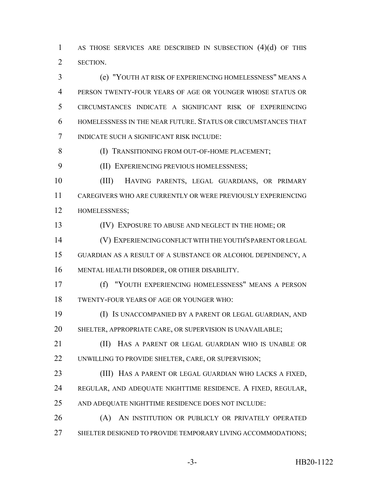AS THOSE SERVICES ARE DESCRIBED IN SUBSECTION (4)(d) OF THIS SECTION.

 (e) "YOUTH AT RISK OF EXPERIENCING HOMELESSNESS" MEANS A PERSON TWENTY-FOUR YEARS OF AGE OR YOUNGER WHOSE STATUS OR CIRCUMSTANCES INDICATE A SIGNIFICANT RISK OF EXPERIENCING HOMELESSNESS IN THE NEAR FUTURE. STATUS OR CIRCUMSTANCES THAT INDICATE SUCH A SIGNIFICANT RISK INCLUDE:

**(I) TRANSITIONING FROM OUT-OF-HOME PLACEMENT;** 

(II) EXPERIENCING PREVIOUS HOMELESSNESS;

 (III) HAVING PARENTS, LEGAL GUARDIANS, OR PRIMARY CAREGIVERS WHO ARE CURRENTLY OR WERE PREVIOUSLY EXPERIENCING HOMELESSNESS;

(IV) EXPOSURE TO ABUSE AND NEGLECT IN THE HOME; OR

 (V) EXPERIENCING CONFLICT WITH THE YOUTH'S PARENT OR LEGAL GUARDIAN AS A RESULT OF A SUBSTANCE OR ALCOHOL DEPENDENCY, A MENTAL HEALTH DISORDER, OR OTHER DISABILITY.

 (f) "YOUTH EXPERIENCING HOMELESSNESS" MEANS A PERSON TWENTY-FOUR YEARS OF AGE OR YOUNGER WHO:

 (I) IS UNACCOMPANIED BY A PARENT OR LEGAL GUARDIAN, AND SHELTER, APPROPRIATE CARE, OR SUPERVISION IS UNAVAILABLE;

**(II)** HAS A PARENT OR LEGAL GUARDIAN WHO IS UNABLE OR 22 UNWILLING TO PROVIDE SHELTER, CARE, OR SUPERVISION;

 (III) HAS A PARENT OR LEGAL GUARDIAN WHO LACKS A FIXED, REGULAR, AND ADEQUATE NIGHTTIME RESIDENCE. A FIXED, REGULAR,

AND ADEQUATE NIGHTTIME RESIDENCE DOES NOT INCLUDE:

 (A) AN INSTITUTION OR PUBLICLY OR PRIVATELY OPERATED 27 SHELTER DESIGNED TO PROVIDE TEMPORARY LIVING ACCOMMODATIONS;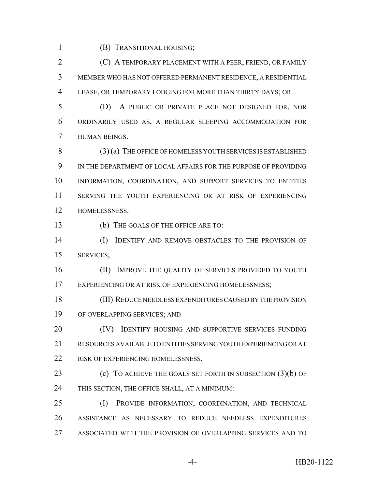(B) TRANSITIONAL HOUSING;

 (C) A TEMPORARY PLACEMENT WITH A PEER, FRIEND, OR FAMILY MEMBER WHO HAS NOT OFFERED PERMANENT RESIDENCE, A RESIDENTIAL LEASE, OR TEMPORARY LODGING FOR MORE THAN THIRTY DAYS; OR

 (D) A PUBLIC OR PRIVATE PLACE NOT DESIGNED FOR, NOR ORDINARILY USED AS, A REGULAR SLEEPING ACCOMMODATION FOR HUMAN BEINGS.

 (3) (a) THE OFFICE OF HOMELESS YOUTH SERVICES IS ESTABLISHED IN THE DEPARTMENT OF LOCAL AFFAIRS FOR THE PURPOSE OF PROVIDING INFORMATION, COORDINATION, AND SUPPORT SERVICES TO ENTITIES SERVING THE YOUTH EXPERIENCING OR AT RISK OF EXPERIENCING HOMELESSNESS.

(b) THE GOALS OF THE OFFICE ARE TO:

 (I) IDENTIFY AND REMOVE OBSTACLES TO THE PROVISION OF SERVICES;

16 (II) IMPROVE THE QUALITY OF SERVICES PROVIDED TO YOUTH 17 EXPERIENCING OR AT RISK OF EXPERIENCING HOMELESSNESS;

 (III) REDUCE NEEDLESS EXPENDITURES CAUSED BY THE PROVISION OF OVERLAPPING SERVICES; AND

**(IV)** IDENTIFY HOUSING AND SUPPORTIVE SERVICES FUNDING RESOURCES AVAILABLE TO ENTITIES SERVING YOUTH EXPERIENCING OR AT 22 RISK OF EXPERIENCING HOMELESSNESS.

**(c)** TO ACHIEVE THE GOALS SET FORTH IN SUBSECTION (3)(b) OF THIS SECTION, THE OFFICE SHALL, AT A MINIMUM:

 (I) PROVIDE INFORMATION, COORDINATION, AND TECHNICAL ASSISTANCE AS NECESSARY TO REDUCE NEEDLESS EXPENDITURES ASSOCIATED WITH THE PROVISION OF OVERLAPPING SERVICES AND TO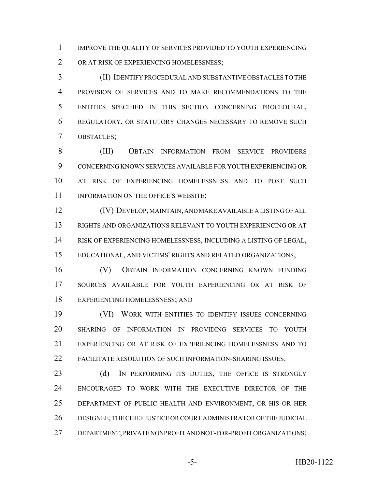IMPROVE THE QUALITY OF SERVICES PROVIDED TO YOUTH EXPERIENCING 2 OR AT RISK OF EXPERIENCING HOMELESSNESS;

 (II) IDENTIFY PROCEDURAL AND SUBSTANTIVE OBSTACLES TO THE PROVISION OF SERVICES AND TO MAKE RECOMMENDATIONS TO THE ENTITIES SPECIFIED IN THIS SECTION CONCERNING PROCEDURAL, REGULATORY, OR STATUTORY CHANGES NECESSARY TO REMOVE SUCH OBSTACLES;

 (III) OBTAIN INFORMATION FROM SERVICE PROVIDERS CONCERNING KNOWN SERVICES AVAILABLE FOR YOUTH EXPERIENCING OR AT RISK OF EXPERIENCING HOMELESSNESS AND TO POST SUCH 11 INFORMATION ON THE OFFICE'S WEBSITE;

 (IV) DEVELOP, MAINTAIN, AND MAKE AVAILABLE A LISTING OF ALL RIGHTS AND ORGANIZATIONS RELEVANT TO YOUTH EXPERIENCING OR AT RISK OF EXPERIENCING HOMELESSNESS, INCLUDING A LISTING OF LEGAL, EDUCATIONAL, AND VICTIMS' RIGHTS AND RELATED ORGANIZATIONS;

 (V) OBTAIN INFORMATION CONCERNING KNOWN FUNDING SOURCES AVAILABLE FOR YOUTH EXPERIENCING OR AT RISK OF EXPERIENCING HOMELESSNESS; AND

 (VI) WORK WITH ENTITIES TO IDENTIFY ISSUES CONCERNING SHARING OF INFORMATION IN PROVIDING SERVICES TO YOUTH EXPERIENCING OR AT RISK OF EXPERIENCING HOMELESSNESS AND TO FACILITATE RESOLUTION OF SUCH INFORMATION-SHARING ISSUES.

23 (d) IN PERFORMING ITS DUTIES, THE OFFICE IS STRONGLY ENCOURAGED TO WORK WITH THE EXECUTIVE DIRECTOR OF THE DEPARTMENT OF PUBLIC HEALTH AND ENVIRONMENT, OR HIS OR HER DESIGNEE; THE CHIEF JUSTICE OR COURT ADMINISTRATOR OF THE JUDICIAL DEPARTMENT; PRIVATE NONPROFIT AND NOT-FOR-PROFIT ORGANIZATIONS;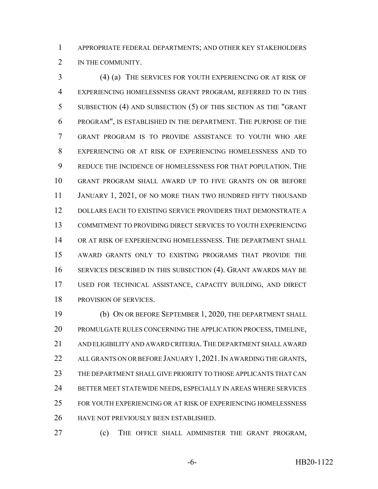APPROPRIATE FEDERAL DEPARTMENTS; AND OTHER KEY STAKEHOLDERS 2 IN THE COMMUNITY.

 (4) (a) THE SERVICES FOR YOUTH EXPERIENCING OR AT RISK OF EXPERIENCING HOMELESSNESS GRANT PROGRAM, REFERRED TO IN THIS SUBSECTION (4) AND SUBSECTION (5) OF THIS SECTION AS THE "GRANT PROGRAM", IS ESTABLISHED IN THE DEPARTMENT. THE PURPOSE OF THE GRANT PROGRAM IS TO PROVIDE ASSISTANCE TO YOUTH WHO ARE EXPERIENCING OR AT RISK OF EXPERIENCING HOMELESSNESS AND TO REDUCE THE INCIDENCE OF HOMELESSNESS FOR THAT POPULATION. THE GRANT PROGRAM SHALL AWARD UP TO FIVE GRANTS ON OR BEFORE 11 JANUARY 1, 2021, OF NO MORE THAN TWO HUNDRED FIFTY THOUSAND DOLLARS EACH TO EXISTING SERVICE PROVIDERS THAT DEMONSTRATE A COMMITMENT TO PROVIDING DIRECT SERVICES TO YOUTH EXPERIENCING OR AT RISK OF EXPERIENCING HOMELESSNESS. THE DEPARTMENT SHALL AWARD GRANTS ONLY TO EXISTING PROGRAMS THAT PROVIDE THE SERVICES DESCRIBED IN THIS SUBSECTION (4). GRANT AWARDS MAY BE USED FOR TECHNICAL ASSISTANCE, CAPACITY BUILDING, AND DIRECT PROVISION OF SERVICES.

 (b) ON OR BEFORE SEPTEMBER 1, 2020, THE DEPARTMENT SHALL PROMULGATE RULES CONCERNING THE APPLICATION PROCESS, TIMELINE, AND ELIGIBILITY AND AWARD CRITERIA.THE DEPARTMENT SHALL AWARD 22 ALL GRANTS ON OR BEFORE JANUARY 1, 2021. IN AWARDING THE GRANTS, THE DEPARTMENT SHALL GIVE PRIORITY TO THOSE APPLICANTS THAT CAN BETTER MEET STATEWIDE NEEDS, ESPECIALLY IN AREAS WHERE SERVICES FOR YOUTH EXPERIENCING OR AT RISK OF EXPERIENCING HOMELESSNESS HAVE NOT PREVIOUSLY BEEN ESTABLISHED.

(c) THE OFFICE SHALL ADMINISTER THE GRANT PROGRAM,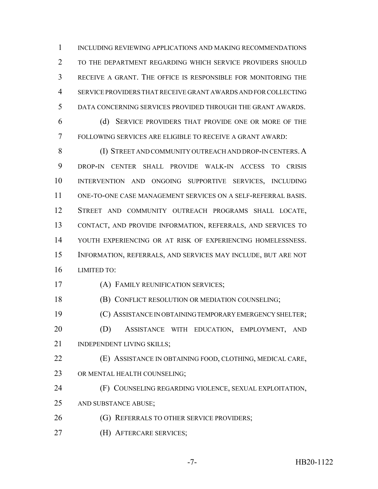INCLUDING REVIEWING APPLICATIONS AND MAKING RECOMMENDATIONS 2 TO THE DEPARTMENT REGARDING WHICH SERVICE PROVIDERS SHOULD RECEIVE A GRANT. THE OFFICE IS RESPONSIBLE FOR MONITORING THE SERVICE PROVIDERS THAT RECEIVE GRANT AWARDS AND FOR COLLECTING DATA CONCERNING SERVICES PROVIDED THROUGH THE GRANT AWARDS.

 (d) SERVICE PROVIDERS THAT PROVIDE ONE OR MORE OF THE FOLLOWING SERVICES ARE ELIGIBLE TO RECEIVE A GRANT AWARD:

8 (I) STREET AND COMMUNITY OUTREACH AND DROP-IN CENTERS. A DROP-IN CENTER SHALL PROVIDE WALK-IN ACCESS TO CRISIS INTERVENTION AND ONGOING SUPPORTIVE SERVICES, INCLUDING ONE-TO-ONE CASE MANAGEMENT SERVICES ON A SELF-REFERRAL BASIS. STREET AND COMMUNITY OUTREACH PROGRAMS SHALL LOCATE, CONTACT, AND PROVIDE INFORMATION, REFERRALS, AND SERVICES TO YOUTH EXPERIENCING OR AT RISK OF EXPERIENCING HOMELESSNESS. INFORMATION, REFERRALS, AND SERVICES MAY INCLUDE, BUT ARE NOT LIMITED TO:

(A) FAMILY REUNIFICATION SERVICES;

**(B) CONFLICT RESOLUTION OR MEDIATION COUNSELING;** 

(C) ASSISTANCE IN OBTAINING TEMPORARY EMERGENCY SHELTER;

 (D) ASSISTANCE WITH EDUCATION, EMPLOYMENT, AND 21 INDEPENDENT LIVING SKILLS;

 (E) ASSISTANCE IN OBTAINING FOOD, CLOTHING, MEDICAL CARE, 23 OR MENTAL HEALTH COUNSELING;

 (F) COUNSELING REGARDING VIOLENCE, SEXUAL EXPLOITATION, AND SUBSTANCE ABUSE;

- **(G) REFERRALS TO OTHER SERVICE PROVIDERS;**
- (H) AFTERCARE SERVICES;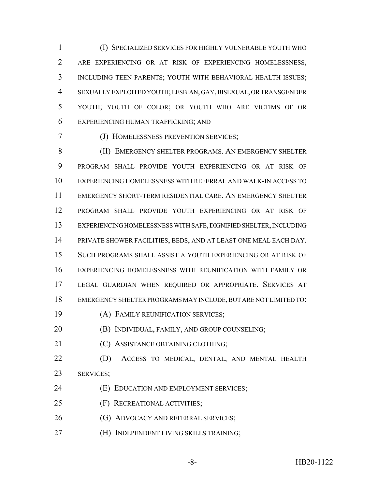(I) SPECIALIZED SERVICES FOR HIGHLY VULNERABLE YOUTH WHO ARE EXPERIENCING OR AT RISK OF EXPERIENCING HOMELESSNESS, INCLUDING TEEN PARENTS; YOUTH WITH BEHAVIORAL HEALTH ISSUES; SEXUALLY EXPLOITED YOUTH; LESBIAN, GAY, BISEXUAL, OR TRANSGENDER YOUTH; YOUTH OF COLOR; OR YOUTH WHO ARE VICTIMS OF OR EXPERIENCING HUMAN TRAFFICKING; AND

(J) HOMELESSNESS PREVENTION SERVICES;

8 (II) EMERGENCY SHELTER PROGRAMS. AN EMERGENCY SHELTER PROGRAM SHALL PROVIDE YOUTH EXPERIENCING OR AT RISK OF EXPERIENCING HOMELESSNESS WITH REFERRAL AND WALK-IN ACCESS TO EMERGENCY SHORT-TERM RESIDENTIAL CARE. AN EMERGENCY SHELTER PROGRAM SHALL PROVIDE YOUTH EXPERIENCING OR AT RISK OF EXPERIENCING HOMELESSNESS WITH SAFE, DIGNIFIED SHELTER, INCLUDING PRIVATE SHOWER FACILITIES, BEDS, AND AT LEAST ONE MEAL EACH DAY. SUCH PROGRAMS SHALL ASSIST A YOUTH EXPERIENCING OR AT RISK OF EXPERIENCING HOMELESSNESS WITH REUNIFICATION WITH FAMILY OR LEGAL GUARDIAN WHEN REQUIRED OR APPROPRIATE. SERVICES AT EMERGENCY SHELTER PROGRAMS MAY INCLUDE, BUT ARE NOT LIMITED TO: (A) FAMILY REUNIFICATION SERVICES;

- **(B) INDIVIDUAL, FAMILY, AND GROUP COUNSELING**;
- **(C) ASSISTANCE OBTAINING CLOTHING;**
- 
- (D) ACCESS TO MEDICAL, DENTAL, AND MENTAL HEALTH SERVICES;
- (E) EDUCATION AND EMPLOYMENT SERVICES;
- (F) RECREATIONAL ACTIVITIES;
- (G) ADVOCACY AND REFERRAL SERVICES;
- (H) INDEPENDENT LIVING SKILLS TRAINING;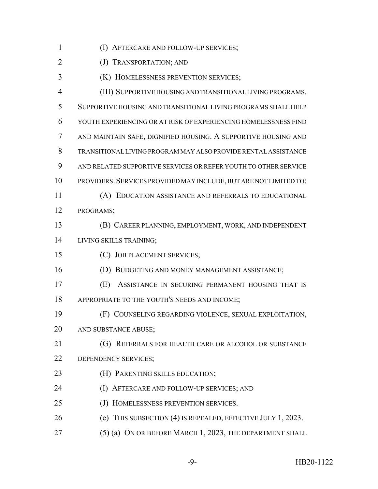2 (J) TRANSPORTATION; AND

(K) HOMELESSNESS PREVENTION SERVICES;

 (III) SUPPORTIVE HOUSING AND TRANSITIONAL LIVING PROGRAMS. SUPPORTIVE HOUSING AND TRANSITIONAL LIVING PROGRAMS SHALL HELP YOUTH EXPERIENCING OR AT RISK OF EXPERIENCING HOMELESSNESS FIND AND MAINTAIN SAFE, DIGNIFIED HOUSING. A SUPPORTIVE HOUSING AND TRANSITIONAL LIVING PROGRAM MAY ALSO PROVIDE RENTAL ASSISTANCE AND RELATED SUPPORTIVE SERVICES OR REFER YOUTH TO OTHER SERVICE PROVIDERS.SERVICES PROVIDED MAY INCLUDE, BUT ARE NOT LIMITED TO: (A) EDUCATION ASSISTANCE AND REFERRALS TO EDUCATIONAL PROGRAMS;

 (B) CAREER PLANNING, EMPLOYMENT, WORK, AND INDEPENDENT LIVING SKILLS TRAINING;

(C) JOB PLACEMENT SERVICES;

(D) BUDGETING AND MONEY MANAGEMENT ASSISTANCE;

 (E) ASSISTANCE IN SECURING PERMANENT HOUSING THAT IS APPROPRIATE TO THE YOUTH'S NEEDS AND INCOME;

 (F) COUNSELING REGARDING VIOLENCE, SEXUAL EXPLOITATION, AND SUBSTANCE ABUSE;

**(G) REFERRALS FOR HEALTH CARE OR ALCOHOL OR SUBSTANCE** 22 DEPENDENCY SERVICES;

- (H) PARENTING SKILLS EDUCATION;
- (I) AFTERCARE AND FOLLOW-UP SERVICES; AND
- (J) HOMELESSNESS PREVENTION SERVICES.
- (e) THIS SUBSECTION (4) IS REPEALED, EFFECTIVE JULY 1, 2023.
- 27 (5) (a) ON OR BEFORE MARCH 1, 2023, THE DEPARTMENT SHALL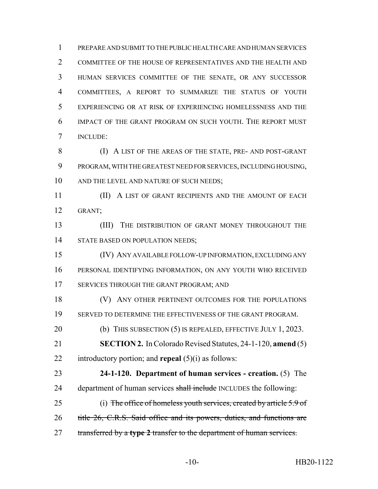PREPARE AND SUBMIT TO THE PUBLIC HEALTH CARE AND HUMAN SERVICES COMMITTEE OF THE HOUSE OF REPRESENTATIVES AND THE HEALTH AND HUMAN SERVICES COMMITTEE OF THE SENATE, OR ANY SUCCESSOR COMMITTEES, A REPORT TO SUMMARIZE THE STATUS OF YOUTH EXPERIENCING OR AT RISK OF EXPERIENCING HOMELESSNESS AND THE IMPACT OF THE GRANT PROGRAM ON SUCH YOUTH. THE REPORT MUST INCLUDE:

 (I) A LIST OF THE AREAS OF THE STATE, PRE- AND POST-GRANT PROGRAM, WITH THE GREATEST NEED FOR SERVICES, INCLUDING HOUSING, 10 AND THE LEVEL AND NATURE OF SUCH NEEDS;

**(II)** A LIST OF GRANT RECIPIENTS AND THE AMOUNT OF EACH GRANT;

 (III) THE DISTRIBUTION OF GRANT MONEY THROUGHOUT THE 14 STATE BASED ON POPULATION NEEDS;

 (IV) ANY AVAILABLE FOLLOW-UP INFORMATION, EXCLUDING ANY PERSONAL IDENTIFYING INFORMATION, ON ANY YOUTH WHO RECEIVED 17 SERVICES THROUGH THE GRANT PROGRAM; AND

18 (V) ANY OTHER PERTINENT OUTCOMES FOR THE POPULATIONS SERVED TO DETERMINE THE EFFECTIVENESS OF THE GRANT PROGRAM.

20 (b) THIS SUBSECTION (5) IS REPEALED, EFFECTIVE JULY 1, 2023.

 **SECTION 2.** In Colorado Revised Statutes, 24-1-120, **amend** (5) introductory portion; and **repeal** (5)(i) as follows:

 **24-1-120. Department of human services - creation.** (5) The 24 department of human services shall include INCLUDES the following:

 (i) The office of homeless youth services, created by article 5.9 of 26 title 26, C.R.S. Said office and its powers, duties, and functions are transferred by a **type 2** transfer to the department of human services.